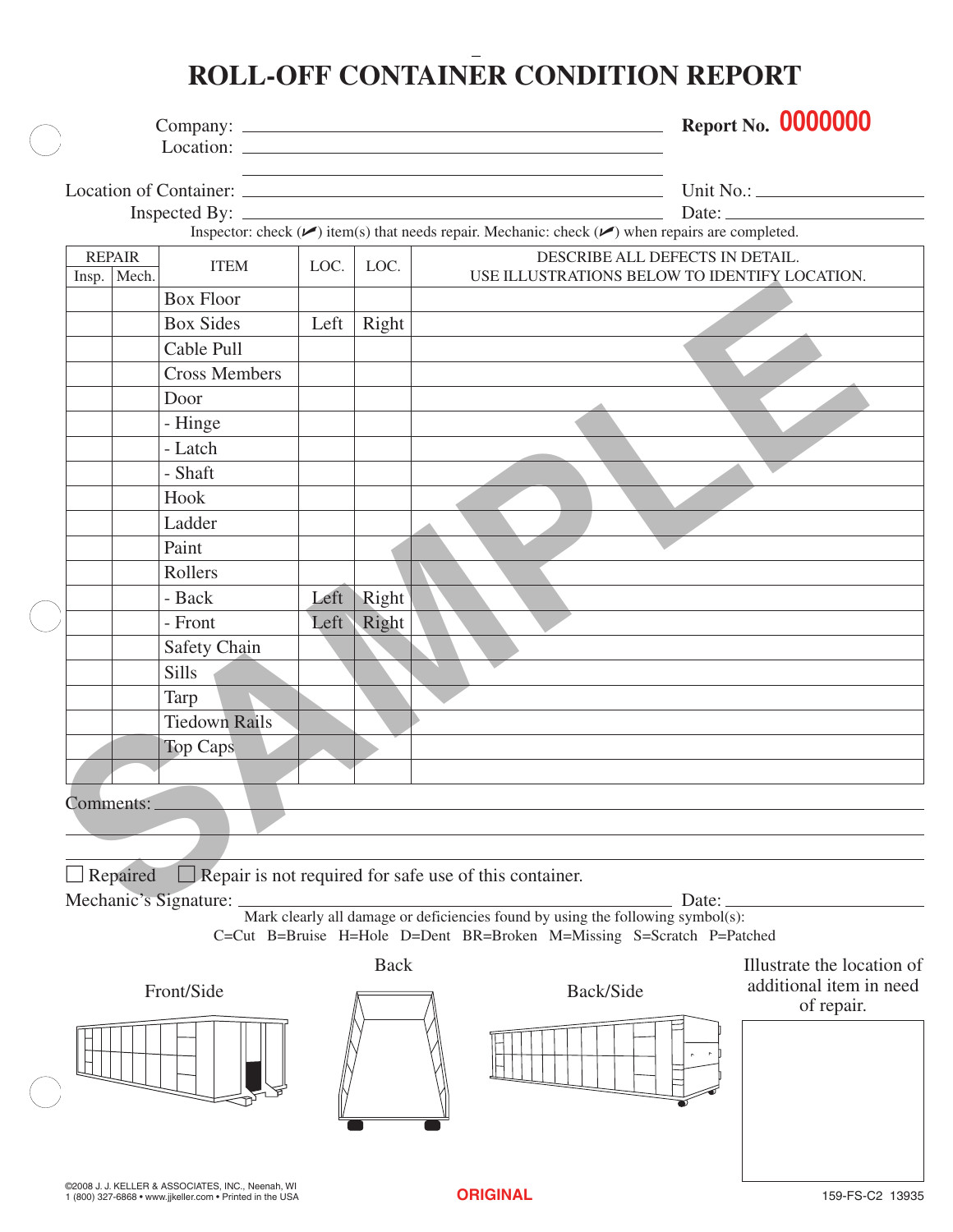## **ROLL-OFF CONTAINER CONDITION REPORT**

|  |                                |                      |      |             |                                                                                                                                                                                                        |                                 | <b>Report No. 0000000</b>  |
|--|--------------------------------|----------------------|------|-------------|--------------------------------------------------------------------------------------------------------------------------------------------------------------------------------------------------------|---------------------------------|----------------------------|
|  |                                |                      |      |             | the control of the control of the control of the control of the control of the control of<br>Inspector: check $(\vee)$ item(s) that needs repair. Mechanic: check $(\vee)$ when repairs are completed. |                                 | Date:                      |
|  | <b>REPAIR</b><br>Insp.   Mech. | <b>ITEM</b>          | LOC. | LOC.        | USE ILLUSTRATIONS BELOW TO IDENTIFY LOCATION.                                                                                                                                                          | DESCRIBE ALL DEFECTS IN DETAIL. |                            |
|  |                                | <b>Box Floor</b>     |      |             |                                                                                                                                                                                                        |                                 |                            |
|  |                                | <b>Box Sides</b>     | Left | Right       |                                                                                                                                                                                                        |                                 |                            |
|  |                                | Cable Pull           |      |             |                                                                                                                                                                                                        |                                 |                            |
|  |                                | <b>Cross Members</b> |      |             |                                                                                                                                                                                                        |                                 |                            |
|  |                                | Door                 |      |             |                                                                                                                                                                                                        |                                 |                            |
|  |                                | - Hinge              |      |             |                                                                                                                                                                                                        |                                 |                            |
|  |                                | - Latch              |      |             |                                                                                                                                                                                                        |                                 |                            |
|  |                                | - Shaft              |      |             |                                                                                                                                                                                                        |                                 |                            |
|  |                                | Hook                 |      |             |                                                                                                                                                                                                        |                                 |                            |
|  |                                | Ladder               |      |             |                                                                                                                                                                                                        |                                 |                            |
|  |                                | Paint                |      |             |                                                                                                                                                                                                        |                                 |                            |
|  |                                | Rollers              |      |             |                                                                                                                                                                                                        |                                 |                            |
|  |                                | - Back               | Left | Right       |                                                                                                                                                                                                        |                                 |                            |
|  |                                | - Front              | Left | Right       |                                                                                                                                                                                                        |                                 |                            |
|  |                                | Safety Chain         |      |             |                                                                                                                                                                                                        |                                 |                            |
|  |                                | <b>Sills</b>         |      |             |                                                                                                                                                                                                        |                                 |                            |
|  |                                | <b>Tarp</b>          |      |             |                                                                                                                                                                                                        |                                 |                            |
|  |                                | <b>Tiedown Rails</b> |      |             |                                                                                                                                                                                                        |                                 |                            |
|  |                                | <b>Top Caps</b>      |      |             |                                                                                                                                                                                                        |                                 |                            |
|  |                                |                      |      |             |                                                                                                                                                                                                        |                                 |                            |
|  |                                |                      |      |             |                                                                                                                                                                                                        |                                 |                            |
|  | Comments:                      |                      |      |             |                                                                                                                                                                                                        |                                 |                            |
|  |                                |                      |      |             |                                                                                                                                                                                                        |                                 |                            |
|  |                                |                      |      |             |                                                                                                                                                                                                        |                                 |                            |
|  | Repaired                       |                      |      |             | $\Box$ Repair is not required for safe use of this container.                                                                                                                                          |                                 |                            |
|  |                                |                      |      |             | Mark clearly all damage or deficiencies found by using the following symbol(s):                                                                                                                        | Date:                           |                            |
|  |                                |                      |      |             | C=Cut B=Bruise H=Hole D=Dent BR=Broken M=Missing S=Scratch P=Patched                                                                                                                                   |                                 |                            |
|  |                                |                      |      | <b>Back</b> |                                                                                                                                                                                                        |                                 | Illustrate the location of |
|  |                                | Front/Side           |      |             | Back/Side                                                                                                                                                                                              |                                 | additional item in need    |
|  |                                |                      |      |             |                                                                                                                                                                                                        |                                 | of repair.                 |
|  |                                |                      |      |             |                                                                                                                                                                                                        |                                 |                            |
|  |                                |                      |      |             |                                                                                                                                                                                                        |                                 |                            |